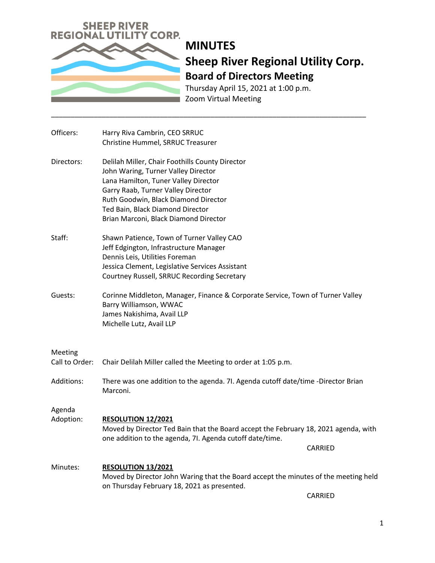

Thursday April 15, 2021 at 1:00 p.m. Zoom Virtual Meeting

\_\_\_\_\_\_\_\_\_\_\_\_\_\_\_\_\_\_\_\_\_\_\_\_\_\_\_\_\_\_\_\_\_\_\_\_\_\_\_\_\_\_\_\_\_\_\_\_\_\_\_\_\_\_\_\_\_\_\_\_\_\_\_\_\_\_\_\_\_\_\_\_\_\_\_\_\_\_\_\_\_

| Officers:                 | Harry Riva Cambrin, CEO SRRUC<br>Christine Hummel, SRRUC Treasurer                                                                                                                                                                                                                        |
|---------------------------|-------------------------------------------------------------------------------------------------------------------------------------------------------------------------------------------------------------------------------------------------------------------------------------------|
| Directors:                | Delilah Miller, Chair Foothills County Director<br>John Waring, Turner Valley Director<br>Lana Hamilton, Tuner Valley Director<br>Garry Raab, Turner Valley Director<br>Ruth Goodwin, Black Diamond Director<br>Ted Bain, Black Diamond Director<br>Brian Marconi, Black Diamond Director |
| Staff:                    | Shawn Patience, Town of Turner Valley CAO<br>Jeff Edgington, Infrastructure Manager<br>Dennis Leis, Utilities Foreman<br>Jessica Clement, Legislative Services Assistant<br>Courtney Russell, SRRUC Recording Secretary                                                                   |
| Guests:                   | Corinne Middleton, Manager, Finance & Corporate Service, Town of Turner Valley<br>Barry Williamson, WWAC<br>James Nakishima, Avail LLP<br>Michelle Lutz, Avail LLP                                                                                                                        |
| Meeting<br>Call to Order: | Chair Delilah Miller called the Meeting to order at 1:05 p.m.                                                                                                                                                                                                                             |
| <b>Additions:</b>         | There was one addition to the agenda. 71. Agenda cutoff date/time -Director Brian<br>Marconi.                                                                                                                                                                                             |
| Agenda<br>Adoption:       | <b>RESOLUTION 12/2021</b><br>Moved by Director Ted Bain that the Board accept the February 18, 2021 agenda, with<br>one addition to the agenda, 7I. Agenda cutoff date/time.<br>CARRIED                                                                                                   |
| Minutes:                  | <b>RESOLUTION 13/2021</b><br>Moved by Director John Waring that the Board accept the minutes of the meeting held<br>on Thursday February 18, 2021 as presented.                                                                                                                           |

CARRIED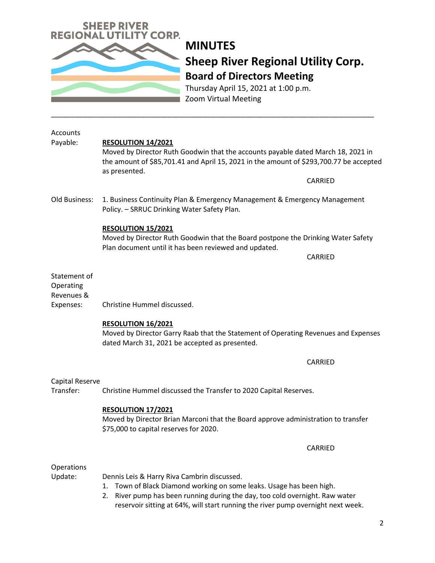

Thursday April 15, 2021 at 1:00 p.m. Zoom Virtual Meeting

\_\_\_\_\_\_\_\_\_\_\_\_\_\_\_\_\_\_\_\_\_\_\_\_\_\_\_\_\_\_\_\_\_\_\_\_\_\_\_\_\_\_\_\_\_\_\_\_\_\_\_\_\_\_\_\_\_\_\_\_\_\_\_\_\_\_\_\_\_\_\_\_\_\_\_\_\_\_\_\_\_\_\_

| Accounts                                |                                                                                                                                                                                             |
|-----------------------------------------|---------------------------------------------------------------------------------------------------------------------------------------------------------------------------------------------|
| Payable:                                | RESOLUTION 14/2021                                                                                                                                                                          |
|                                         | Moved by Director Ruth Goodwin that the accounts payable dated March 18, 2021 in<br>the amount of \$85,701.41 and April 15, 2021 in the amount of \$293,700.77 be accepted<br>as presented. |
|                                         | CARRIED                                                                                                                                                                                     |
| Old Business:                           | 1. Business Continuity Plan & Emergency Management & Emergency Management<br>Policy. - SRRUC Drinking Water Safety Plan.                                                                    |
|                                         | <b>RESOLUTION 15/2021</b><br>Moved by Director Ruth Goodwin that the Board postpone the Drinking Water Safety<br>Plan document until it has been reviewed and updated.                      |
|                                         | CARRIED                                                                                                                                                                                     |
| Statement of<br>Operating<br>Revenues & |                                                                                                                                                                                             |
| Expenses:                               | Christine Hummel discussed.                                                                                                                                                                 |
|                                         | RESOLUTION 16/2021<br>Moved by Director Garry Raab that the Statement of Operating Revenues and Expenses<br>dated March 31, 2021 be accepted as presented.                                  |
|                                         | CARRIED                                                                                                                                                                                     |
| Capital Reserve                         |                                                                                                                                                                                             |
| Transfer:                               | Christine Hummel discussed the Transfer to 2020 Capital Reserves.                                                                                                                           |
|                                         | RESOLUTION 17/2021<br>Moved by Director Brian Marconi that the Board approve administration to transfer<br>\$75,000 to capital reserves for 2020.                                           |
|                                         | CARRIED                                                                                                                                                                                     |
| Operations                              |                                                                                                                                                                                             |
| Update:                                 | Dennis Leis & Harry Riva Cambrin discussed.                                                                                                                                                 |
|                                         | Town of Black Diamond working on some leaks. Usage has been high.<br>1.                                                                                                                     |
|                                         | River pump has been running during the day, too cold overnight. Raw water<br>2.<br>reservoir sitting at 64%, will start running the river pump overnight next week.                         |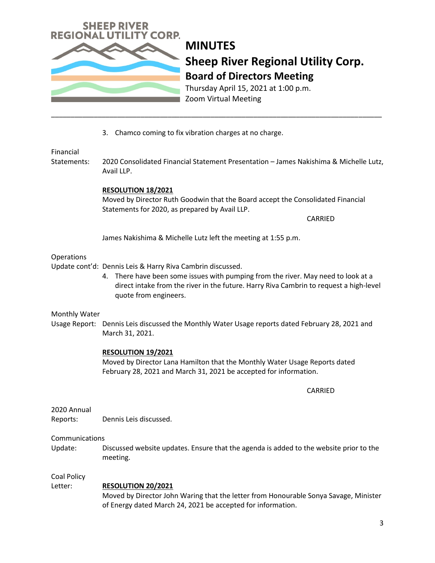

Thursday April 15, 2021 at 1:00 p.m. Zoom Virtual Meeting

3. Chamco coming to fix vibration charges at no charge.

## Financial

Statements: 2020 Consolidated Financial Statement Presentation – James Nakishima & Michelle Lutz, Avail LLP.

\_\_\_\_\_\_\_\_\_\_\_\_\_\_\_\_\_\_\_\_\_\_\_\_\_\_\_\_\_\_\_\_\_\_\_\_\_\_\_\_\_\_\_\_\_\_\_\_\_\_\_\_\_\_\_\_\_\_\_\_\_\_\_\_\_\_\_\_\_\_\_\_\_\_\_\_\_\_\_\_\_\_\_\_\_

### **RESOLUTION 18/2021**

Moved by Director Ruth Goodwin that the Board accept the Consolidated Financial Statements for 2020, as prepared by Avail LLP.

CARRIED

James Nakishima & Michelle Lutz left the meeting at 1:55 p.m.

### **Operations**

Update cont'd: Dennis Leis & Harry Riva Cambrin discussed.

4. There have been some issues with pumping from the river. May need to look at a direct intake from the river in the future. Harry Riva Cambrin to request a high-level quote from engineers.

#### Monthly Water

Usage Report: Dennis Leis discussed the Monthly Water Usage reports dated February 28, 2021 and March 31, 2021.

#### **RESOLUTION 19/2021**

Moved by Director Lana Hamilton that the Monthly Water Usage Reports dated February 28, 2021 and March 31, 2021 be accepted for information.

CARRIED

### 2020 Annual

Reports: Dennis Leis discussed.

#### Communications

Update: Discussed website updates. Ensure that the agenda is added to the website prior to the meeting.

#### Coal Policy

### Letter: **RESOLUTION 20/2021**

Moved by Director John Waring that the letter from Honourable Sonya Savage, Minister of Energy dated March 24, 2021 be accepted for information.